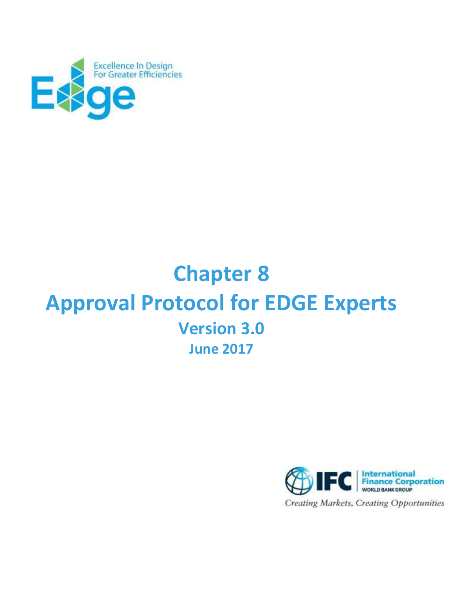

# **Chapter 8 Approval Protocol for EDGE Experts Version 3.0 June 2017**

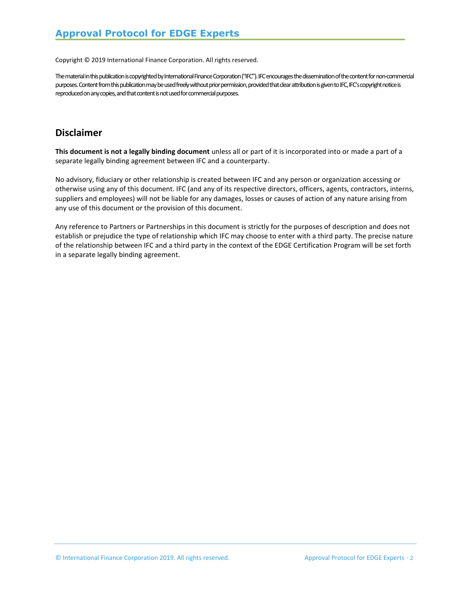Copyright © 2019 International Finance Corporation. All rights reserved.

The material in this publication is copyrighted by International Finance Corporation ("IFC"). IFC encourages the dissemination of the content for non-commercial purposes. Content from this publication may be used freely without prior permission, provided that clear attribution is given to IFC, IFC's copyright notice is reproduced on any copies, and that content is not used for commercial purposes.

## **Disclaimer**

**This document is not a legally binding document** unless all or part of it is incorporated into or made a part of a separate legally binding agreement between IFC and a counterparty.

No advisory, fiduciary or other relationship is created between IFC and any person or organization accessing or otherwise using any of this document. IFC (and any of its respective directors, officers, agents, contractors, interns, suppliers and employees) will not be liable for any damages, losses or causes of action of any nature arising from any use of this document or the provision of this document.

Any reference to Partners or Partnerships in this document is strictly for the purposes of description and does not establish or prejudice the type of relationship which IFC may choose to enter with a third party. The precise nature of the relationship between IFC and a third party in the context of the EDGE Certification Program will be set forth in a separate legally binding agreement.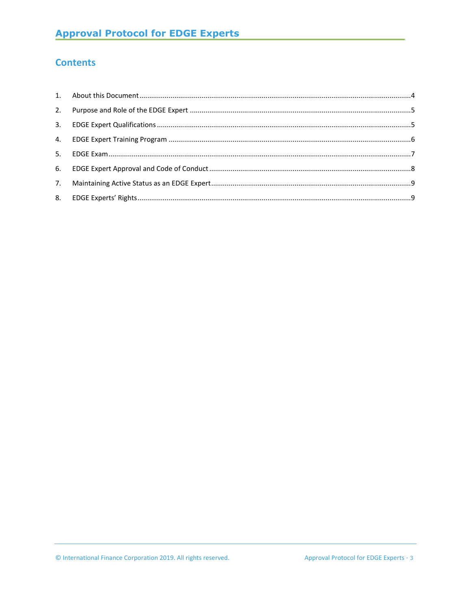# **Contents**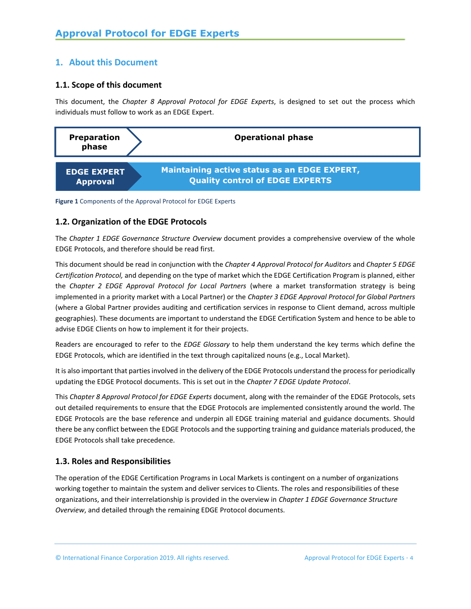#### <span id="page-3-0"></span>**1. About this Document**

#### **1.1. Scope of this document**

This document, the *Chapter 8 Approval Protocol for EDGE Experts*, is designed to set out the process which individuals must follow to work as an EDGE Expert.



**Figure 1** Components of the Approval Protocol for EDGE Experts

#### **1.2. Organization of the EDGE Protocols**

The *Chapter 1 EDGE Governance Structure Overview* document provides a comprehensive overview of the whole EDGE Protocols, and therefore should be read first.

This document should be read in conjunction with the *Chapter 4 Approval Protocol for Auditors* and *Chapter 5 EDGE Certification Protocol,* and depending on the type of market which the EDGE Certification Program is planned, either the *Chapter 2 EDGE Approval Protocol for Local Partners* (where a market transformation strategy is being implemented in a priority market with a Local Partner) or the *Chapter 3 EDGE Approval Protocol for Global Partners* (where a Global Partner provides auditing and certification services in response to Client demand, across multiple geographies). These documents are important to understand the EDGE Certification System and hence to be able to advise EDGE Clients on how to implement it for their projects.

Readers are encouraged to refer to the *EDGE Glossary* to help them understand the key terms which define the EDGE Protocols, which are identified in the text through capitalized nouns (e.g., Local Market).

It is also important that parties involved in the delivery of the EDGE Protocols understand the process for periodically updating the EDGE Protocol documents. This is set out in the *Chapter 7 EDGE Update Protocol*.

This *Chapter 8 Approval Protocol for EDGE Experts* document, along with the remainder of the EDGE Protocols, sets out detailed requirements to ensure that the EDGE Protocols are implemented consistently around the world. The EDGE Protocols are the base reference and underpin all EDGE training material and guidance documents. Should there be any conflict between the EDGE Protocols and the supporting training and guidance materials produced, the EDGE Protocols shall take precedence.

#### **1.3. Roles and Responsibilities**

The operation of the EDGE Certification Programs in Local Markets is contingent on a number of organizations working together to maintain the system and deliver services to Clients. The roles and responsibilities of these organizations, and their interrelationship is provided in the overview in *Chapter 1 EDGE Governance Structure Overview*, and detailed through the remaining EDGE Protocol documents.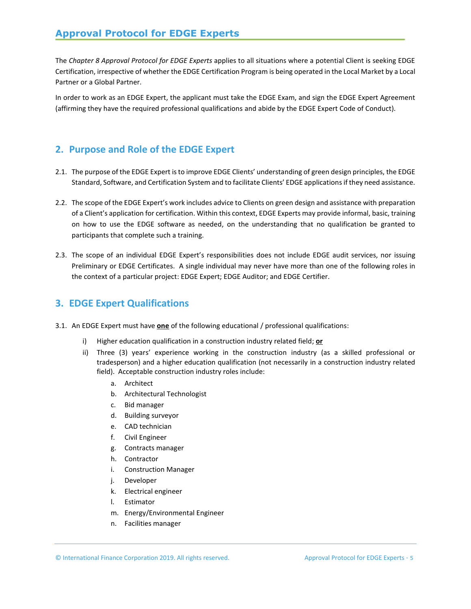The *Chapter 8 Approval Protocol for EDGE Experts* applies to all situations where a potential Client is seeking EDGE Certification, irrespective of whether the EDGE Certification Program is being operated in the Local Market by a Local Partner or a Global Partner.

In order to work as an EDGE Expert, the applicant must take the EDGE Exam, and sign the EDGE Expert Agreement (affirming they have the required professional qualifications and abide by the EDGE Expert Code of Conduct).

#### <span id="page-4-0"></span>**2. Purpose and Role of the EDGE Expert**

- 2.1. The purpose of the EDGE Expert is to improve EDGE Clients' understanding of green design principles, the EDGE Standard, Software, and Certification System and to facilitate Clients' EDGE applicationsif they need assistance.
- 2.2. The scope of the EDGE Expert's work includes advice to Clients on green design and assistance with preparation of a Client's application for certification. Within this context, EDGE Experts may provide informal, basic, training on how to use the EDGE software as needed, on the understanding that no qualification be granted to participants that complete such a training.
- 2.3. The scope of an individual EDGE Expert's responsibilities does not include EDGE audit services, nor issuing Preliminary or EDGE Certificates. A single individual may never have more than one of the following roles in the context of a particular project: EDGE Expert; EDGE Auditor; and EDGE Certifier.

## <span id="page-4-1"></span>**3. EDGE Expert Qualifications**

- 3.1. An EDGE Expert must have **one** of the following educational / professional qualifications:
	- i) Higher education qualification in a construction industry related field; **or**
	- ii) Three (3) years' experience working in the construction industry (as a skilled professional or tradesperson) and a higher education qualification (not necessarily in a construction industry related field). Acceptable construction industry roles include:
		- a. Architect
		- b. Architectural Technologist
		- c. Bid manager
		- d. Building surveyor
		- e. CAD technician
		- f. Civil Engineer
		- g. Contracts manager
		- h. Contractor
		- i. Construction Manager
		- j. Developer
		- k. Electrical engineer
		- l. Estimator
		- m. Energy/Environmental Engineer
		- n. Facilities manager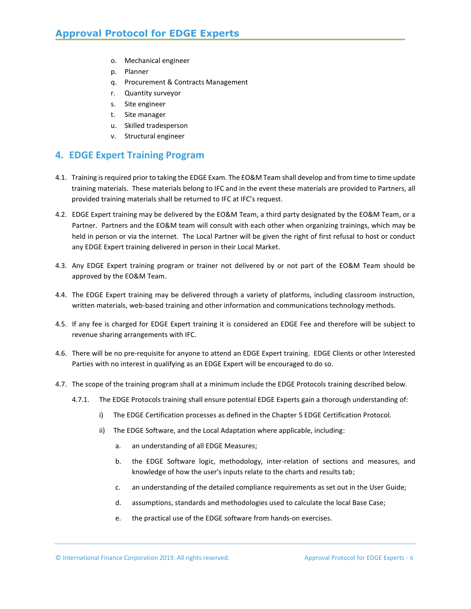- o. Mechanical engineer
- p. Planner
- q. Procurement & Contracts Management
- r. Quantity surveyor
- s. Site engineer
- t. Site manager
- u. Skilled tradesperson
- v. Structural engineer

#### <span id="page-5-0"></span>**4. EDGE Expert Training Program**

- 4.1. Training isrequired prior to taking the EDGE Exam. The EO&M Team shall develop and from time to time update training materials. These materials belong to IFC and in the event these materials are provided to Partners, all provided training materials shall be returned to IFC at IFC's request.
- 4.2. EDGE Expert training may be delivered by the EO&M Team, a third party designated by the EO&M Team, or a Partner. Partners and the EO&M team will consult with each other when organizing trainings, which may be held in person or via the internet. The Local Partner will be given the right of first refusal to host or conduct any EDGE Expert training delivered in person in their Local Market.
- 4.3. Any EDGE Expert training program or trainer not delivered by or not part of the EO&M Team should be approved by the EO&M Team.
- 4.4. The EDGE Expert training may be delivered through a variety of platforms, including classroom instruction, written materials, web-based training and other information and communications technology methods.
- 4.5. If any fee is charged for EDGE Expert training it is considered an EDGE Fee and therefore will be subject to revenue sharing arrangements with IFC.
- 4.6. There will be no pre-requisite for anyone to attend an EDGE Expert training. EDGE Clients or other Interested Parties with no interest in qualifying as an EDGE Expert will be encouraged to do so.
- 4.7. The scope of the training program shall at a minimum include the EDGE Protocols training described below.
	- 4.7.1. The EDGE Protocols training shall ensure potential EDGE Experts gain a thorough understanding of:
		- i) The EDGE Certification processes as defined in the Chapter 5 EDGE Certification Protocol.
		- ii) The EDGE Software, and the Local Adaptation where applicable, including:
			- a. an understanding of all EDGE Measures;
			- b. the EDGE Software logic, methodology, inter-relation of sections and measures, and knowledge of how the user's inputs relate to the charts and results tab;
			- c. an understanding of the detailed compliance requirements as set out in the User Guide;
			- d. assumptions, standards and methodologies used to calculate the local Base Case;
			- e. the practical use of the EDGE software from hands-on exercises.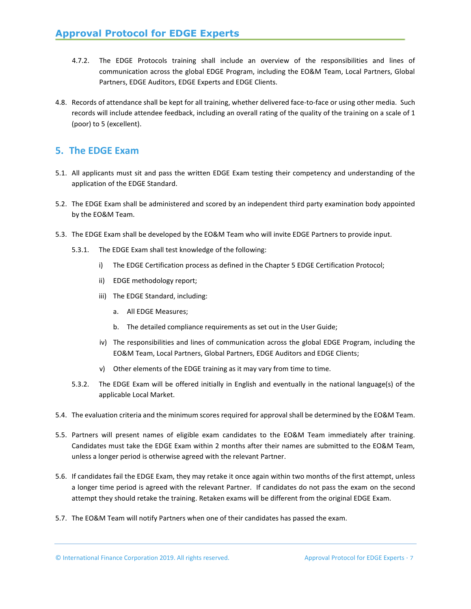- 4.7.2. The EDGE Protocols training shall include an overview of the responsibilities and lines of communication across the global EDGE Program, including the EO&M Team, Local Partners, Global Partners, EDGE Auditors, EDGE Experts and EDGE Clients.
- 4.8. Records of attendance shall be kept for all training, whether delivered face-to-face or using other media. Such records will include attendee feedback, including an overall rating of the quality of the training on a scale of 1 (poor) to 5 (excellent).

#### <span id="page-6-0"></span>**5. The EDGE Exam**

- 5.1. All applicants must sit and pass the written EDGE Exam testing their competency and understanding of the application of the EDGE Standard.
- 5.2. The EDGE Exam shall be administered and scored by an independent third party examination body appointed by the EO&M Team.
- 5.3. The EDGE Exam shall be developed by the EO&M Team who will invite EDGE Partners to provide input.
	- 5.3.1. The EDGE Exam shall test knowledge of the following:
		- i) The EDGE Certification process as defined in the Chapter 5 EDGE Certification Protocol;
		- ii) EDGE methodology report;
		- iii) The EDGE Standard, including:
			- a. All EDGE Measures;
			- b. The detailed compliance requirements as set out in the User Guide;
		- iv) The responsibilities and lines of communication across the global EDGE Program, including the EO&M Team, Local Partners, Global Partners, EDGE Auditors and EDGE Clients;
		- v) Other elements of the EDGE training as it may vary from time to time.
	- 5.3.2. The EDGE Exam will be offered initially in English and eventually in the national language(s) of the applicable Local Market.
- 5.4. The evaluation criteria and the minimum scores required for approval shall be determined by the EO&M Team.
- 5.5. Partners will present names of eligible exam candidates to the EO&M Team immediately after training. Candidates must take the EDGE Exam within 2 months after their names are submitted to the EO&M Team, unless a longer period is otherwise agreed with the relevant Partner.
- 5.6. If candidates fail the EDGE Exam, they may retake it once again within two months of the first attempt, unless a longer time period is agreed with the relevant Partner. If candidates do not pass the exam on the second attempt they should retake the training. Retaken exams will be different from the original EDGE Exam.
- 5.7. The EO&M Team will notify Partners when one of their candidates has passed the exam.

© International Finance Corporation 2019. All rights reserved. Approval Protocol for EDGE Experts · 7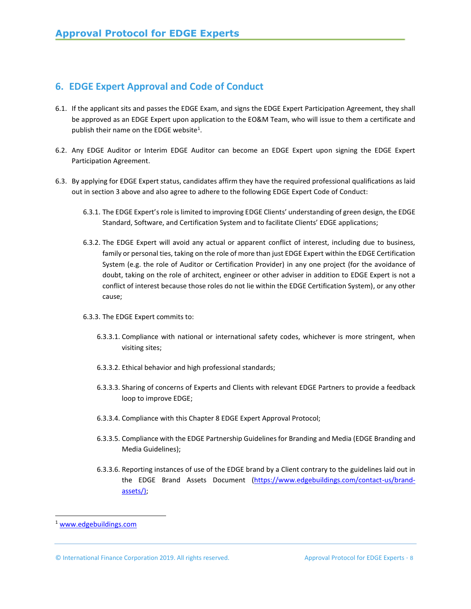# <span id="page-7-0"></span>**6. EDGE Expert Approval and Code of Conduct**

- 6.1. If the applicant sits and passes the EDGE Exam, and signs the EDGE Expert Participation Agreement, they shall be approved as an EDGE Expert upon application to the EO&M Team, who will issue to them a certificate and publish their name on the EDGE website<sup>1</sup>.
- 6.2. Any EDGE Auditor or Interim EDGE Auditor can become an EDGE Expert upon signing the EDGE Expert Participation Agreement.
- 6.3. By applying for EDGE Expert status, candidates affirm they have the required professional qualifications as laid out in section 3 above and also agree to adhere to the following EDGE Expert Code of Conduct:
	- 6.3.1. The EDGE Expert's role islimited to improving EDGE Clients' understanding of green design, the EDGE Standard, Software, and Certification System and to facilitate Clients' EDGE applications;
	- 6.3.2. The EDGE Expert will avoid any actual or apparent conflict of interest, including due to business, family or personal ties, taking on the role of more than just EDGE Expert within the EDGE Certification System (e.g. the role of Auditor or Certification Provider) in any one project (for the avoidance of doubt, taking on the role of architect, engineer or other adviser in addition to EDGE Expert is not a conflict of interest because those roles do not lie within the EDGE Certification System), or any other cause;
	- 6.3.3. The EDGE Expert commits to:
		- 6.3.3.1. Compliance with national or international safety codes, whichever is more stringent, when visiting sites;
		- 6.3.3.2. Ethical behavior and high professional standards;
		- 6.3.3.3. Sharing of concerns of Experts and Clients with relevant EDGE Partners to provide a feedback loop to improve EDGE;
		- 6.3.3.4. Compliance with this Chapter 8 EDGE Expert Approval Protocol;
		- 6.3.3.5. Compliance with the EDGE Partnership Guidelines for Branding and Media (EDGE Branding and Media Guidelines);
		- 6.3.3.6. Reporting instances of use of the EDGE brand by a Client contrary to the guidelines laid out in the EDGE Brand Assets Document [\(https://www.edgebuildings.com/contact-us/brand](https://www.edgebuildings.com/contact-us/brand-assets/)[assets/\)](https://www.edgebuildings.com/contact-us/brand-assets/);

<sup>1</sup> [www.edgebuildings.com](http://www.edgebuildings.com/)

<sup>©</sup> International Finance Corporation 2019. All rights reserved. Approval Protocol for EDGE Experts . 8